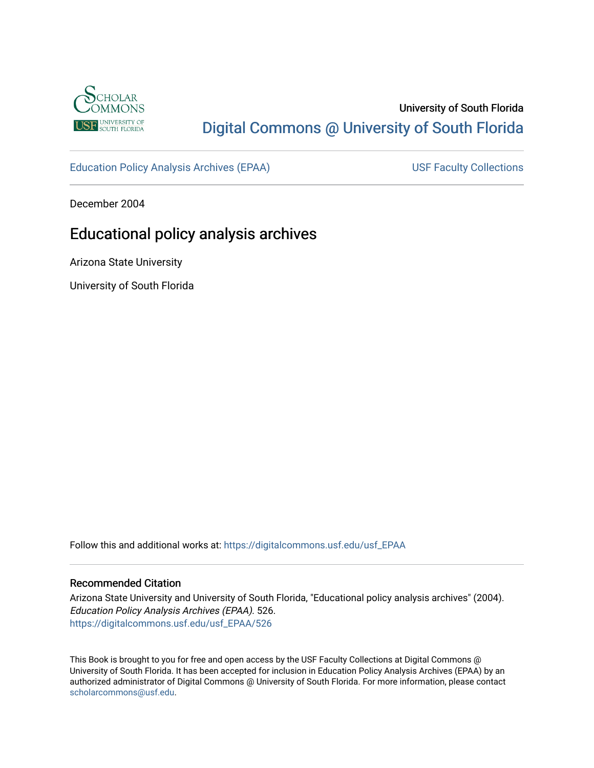

## University of South Florida [Digital Commons @ University of South Florida](https://digitalcommons.usf.edu/)

[Education Policy Analysis Archives \(EPAA\)](https://digitalcommons.usf.edu/usf_EPAA) USF Faculty Collections

December 2004

# Educational policy analysis archives

Arizona State University

University of South Florida

Follow this and additional works at: [https://digitalcommons.usf.edu/usf\\_EPAA](https://digitalcommons.usf.edu/usf_EPAA?utm_source=digitalcommons.usf.edu%2Fusf_EPAA%2F526&utm_medium=PDF&utm_campaign=PDFCoverPages)

#### Recommended Citation

Arizona State University and University of South Florida, "Educational policy analysis archives" (2004). Education Policy Analysis Archives (EPAA). 526. [https://digitalcommons.usf.edu/usf\\_EPAA/526](https://digitalcommons.usf.edu/usf_EPAA/526?utm_source=digitalcommons.usf.edu%2Fusf_EPAA%2F526&utm_medium=PDF&utm_campaign=PDFCoverPages)

This Book is brought to you for free and open access by the USF Faculty Collections at Digital Commons @ University of South Florida. It has been accepted for inclusion in Education Policy Analysis Archives (EPAA) by an authorized administrator of Digital Commons @ University of South Florida. For more information, please contact [scholarcommons@usf.edu.](mailto:scholarcommons@usf.edu)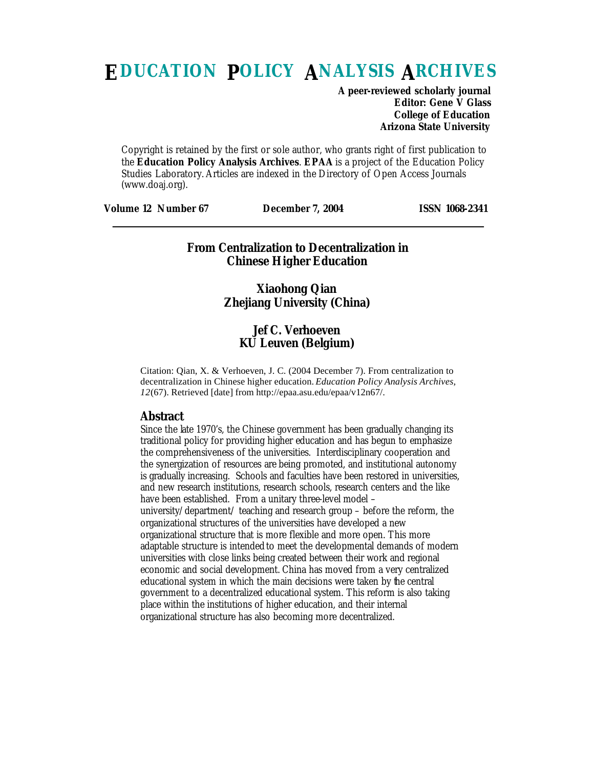# **EDUCATION POLICY ANALYSIS ARCHIVES**

**A peer-reviewed scholarly journal Editor: Gene V Glass College of Education Arizona State University**

Copyright is retained by the first or sole author, who grants right of first publication to the **Education Policy Analysis Archives**. **EPAA** is a project of the Education Policy Studies Laboratory. Articles are indexed in the Directory of Open Access Journals (www.doaj.org).

| <b>Volume 12 Number 67</b><br><b>ISSN 1068-2341</b><br><b>December 7, 2004</b> |
|--------------------------------------------------------------------------------|
|--------------------------------------------------------------------------------|

### **From Centralization to Decentralization in Chinese Higher Education**

## **Xiaohong Qian Zhejiang University (China)**

## **Jef C. Verhoeven KU Leuven (Belgium)**

Citation: Qian, X. & Verhoeven, J. C. (2004 December 7). From centralization to decentralization in Chinese higher education. *Education Policy Analysis Archives, 12*(67). Retrieved [date] from http://epaa.asu.edu/epaa/v12n67/.

#### **Abstract**

Since the late 1970's, the Chinese government has been gradually changing its traditional policy for providing higher education and has begun to emphasize the comprehensiveness of the universities. Interdisciplinary cooperation and the synergization of resources are being promoted, and institutional autonomy is gradually increasing. Schools and faculties have been restored in universities, and new research institutions, research schools, research centers and the like have been established. From a unitary three-level model – university/department/ teaching and research group – before the reform, the organizational structures of the universities have developed a new organizational structure that is more flexible and more open. This more adaptable structure is intended to meet the developmental demands of modern universities with close links being created between their work and regional economic and social development. China has moved from a very centralized educational system in which the main decisions were taken by the central government to a decentralized educational system. This reform is also taking place within the institutions of higher education, and their internal organizational structure has also becoming more decentralized.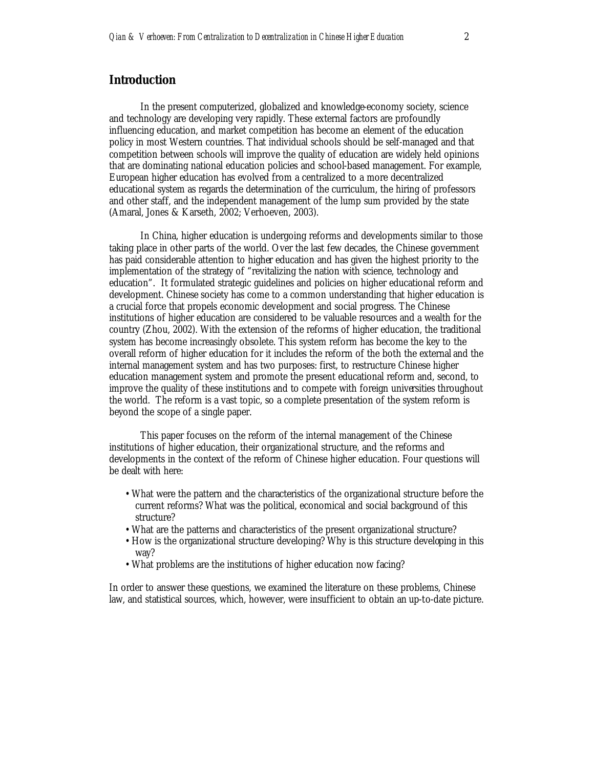## **Introduction**

In the present computerized, globalized and knowledge-economy society, science and technology are developing very rapidly. These external factors are profoundly influencing education, and market competition has become an element of the education policy in most Western countries. That individual schools should be self-managed and that competition between schools will improve the quality of education are widely held opinions that are dominating national education policies and school-based management. For example, European higher education has evolved from a centralized to a more decentralized educational system as regards the determination of the curriculum, the hiring of professors and other staff, and the independent management of the lump sum provided by the state (Amaral, Jones & Karseth, 2002; Verhoeven, 2003).

In China, higher education is undergoing reforms and developments similar to those taking place in other parts of the world. Over the last few decades, the Chinese government has paid considerable attention to higher education and has given the highest priority to the implementation of the strategy of "revitalizing the nation with science, technology and education". It formulated strategic guidelines and policies on higher educational reform and development. Chinese society has come to a common understanding that higher education is a crucial force that propels economic development and social progress. The Chinese institutions of higher education are considered to be valuable resources and a wealth for the country (Zhou, 2002). With the extension of the reforms of higher education, the traditional system has become increasingly obsolete. This system reform has become the key to the overall reform of higher education for it includes the reform of the both the external and the internal management system and has two purposes: first, to restructure Chinese higher education management system and promote the present educational reform and, second, to improve the quality of these institutions and to compete with foreign universities throughout the world. The reform is a vast topic, so a complete presentation of the system reform is beyond the scope of a single paper.

This paper focuses on the reform of the internal management of the Chinese institutions of higher education, their organizational structure, and the reforms and developments in the context of the reform of Chinese higher education. Four questions will be dealt with here:

- What were the pattern and the characteristics of the organizational structure before the current reforms? What was the political, economical and social background of this structure?
- What are the patterns and characteristics of the present organizational structure?
- How is the organizational structure developing? Why is this structure developing in this way?
- What problems are the institutions of higher education now facing?

In order to answer these questions, we examined the literature on these problems, Chinese law, and statistical sources, which, however, were insufficient to obtain an up-to-date picture.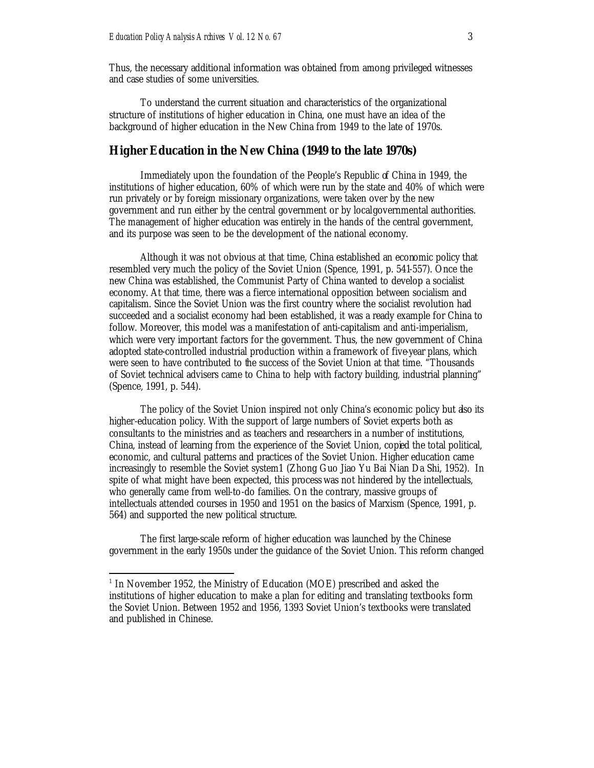Thus, the necessary additional information was obtained from among privileged witnesses and case studies of some universities.

To understand the current situation and characteristics of the organizational structure of institutions of higher education in China, one must have an idea of the background of higher education in the New China from 1949 to the late of 1970s.

#### **Higher Education in the New China (1949 to the late 1970s)**

Immediately upon the foundation of the People's Republic of China in 1949, the institutions of higher education, 60% of which were run by the state and 40% of which were run privately or by foreign missionary organizations, were taken over by the new government and run either by the central government or by local governmental authorities. The management of higher education was entirely in the hands of the central government, and its purpose was seen to be the development of the national economy.

Although it was not obvious at that time, China established an economic policy that resembled very much the policy of the Soviet Union (Spence, 1991, p. 541-557). Once the new China was established, the Communist Party of China wanted to develop a socialist economy. At that time, there was a fierce international opposition between socialism and capitalism. Since the Soviet Union was the first country where the socialist revolution had succeeded and a socialist economy had been established, it was a ready example for China to follow. Moreover, this model was a manifestation of anti-capitalism and anti-imperialism, which were very important factors for the government. Thus, the new government of China adopted state-controlled industrial production within a framework of five-year plans, which were seen to have contributed to the success of the Soviet Union at that time. "Thousands of Soviet technical advisers came to China to help with factory building, industrial planning" (Spence, 1991, p. 544).

The policy of the Soviet Union inspired not only China's economic policy but also its higher-education policy. With the support of large numbers of Soviet experts both as consultants to the ministries and as teachers and researchers in a number of institutions, China, instead of learning from the experience of the Soviet Union, copied the total political, economic, and cultural patterns and practices of the Soviet Union. Higher education came increasingly to resemble the Soviet system1 (Zhong Guo Jiao Yu Bai Nian Da Shi, 1952). In spite of what might have been expected, this process was not hindered by the intellectuals, who generally came from well-to-do families. On the contrary, massive groups of intellectuals attended courses in 1950 and 1951 on the basics of Marxism (Spence, 1991, p. 564) and supported the new political structure.

The first large-scale reform of higher education was launched by the Chinese government in the early 1950s under the guidance of the Soviet Union. This reform changed

<sup>&</sup>lt;sup>1</sup> In November 1952, the Ministry of Education (MOE) prescribed and asked the institutions of higher education to make a plan for editing and translating textbooks form the Soviet Union. Between 1952 and 1956, 1393 Soviet Union's textbooks were translated and published in Chinese.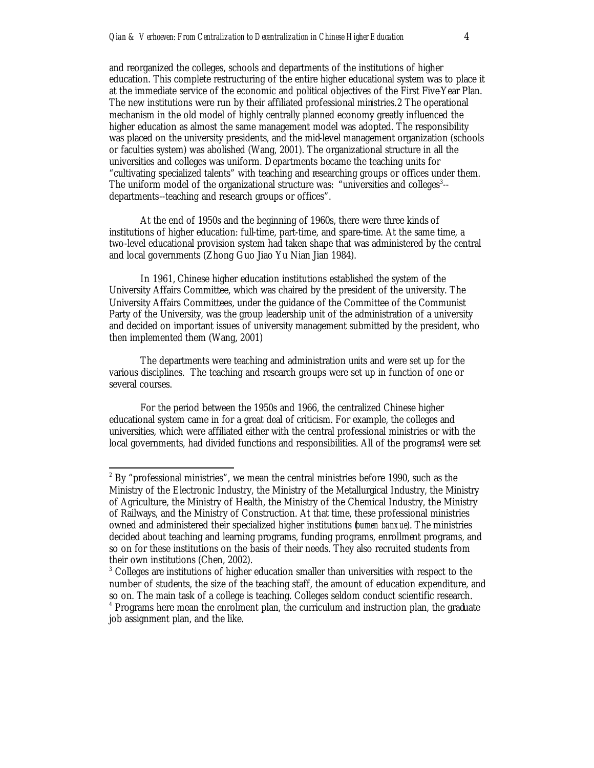and reorganized the colleges, schools and departments of the institutions of higher education. This complete restructuring of the entire higher educational system was to place it at the immediate service of the economic and political objectives of the First Five-Year Plan. The new institutions were run by their affiliated professional ministries.2 The operational mechanism in the old model of highly centrally planned economy greatly influenced the higher education as almost the same management model was adopted. The responsibility was placed on the university presidents, and the mid-level management organization (schools or faculties system) was abolished (Wang, 2001). The organizational structure in all the universities and colleges was uniform. Departments became the teaching units for "cultivating specialized talents" with teaching and researching groups or offices under them. The uniform model of the organizational structure was: "universities and colleges<sup>3</sup>-departments--teaching and research groups or offices".

At the end of 1950s and the beginning of 1960s, there were three kinds of institutions of higher education: full-time, part-time, and spare-time. At the same time, a two-level educational provision system had taken shape that was administered by the central and local governments (Zhong Guo Jiao Yu Nian Jian 1984).

In 1961, Chinese higher education institutions established the system of the University Affairs Committee, which was chaired by the president of the university. The University Affairs Committees, under the guidance of the Committee of the Communist Party of the University, was the group leadership unit of the administration of a university and decided on important issues of university management submitted by the president, who then implemented them (Wang, 2001)

The departments were teaching and administration units and were set up for the various disciplines. The teaching and research groups were set up in function of one or several courses.

For the period between the 1950s and 1966, the centralized Chinese higher educational system came in for a great deal of criticism. For example, the colleges and universities, which were affiliated either with the central professional ministries or with the local governments, had divided functions and responsibilities. All of the programs4 were set

 $\overline{a}^2$  By "professional ministries", we mean the central ministries before 1990, such as the Ministry of the Electronic Industry, the Ministry of the Metallurgical Industry, the Ministry of Agriculture, the Ministry of Health, the Ministry of the Chemical Industry, the Ministry of Railways, and the Ministry of Construction. At that time, these professional ministries owned and administered their specialized higher institutions (*bumen banxue*). The ministries decided about teaching and learning programs, funding programs, enrollment programs, and so on for these institutions on the basis of their needs. They also recruited students from their own institutions (Chen, 2002).

<sup>&</sup>lt;sup>3</sup> Colleges are institutions of higher education smaller than universities with respect to the number of students, the size of the teaching staff, the amount of education expenditure, and so on. The main task of a college is teaching. Colleges seldom conduct scientific research. <sup>4</sup> Programs here mean the enrolment plan, the curriculum and instruction plan, the graduate job assignment plan, and the like.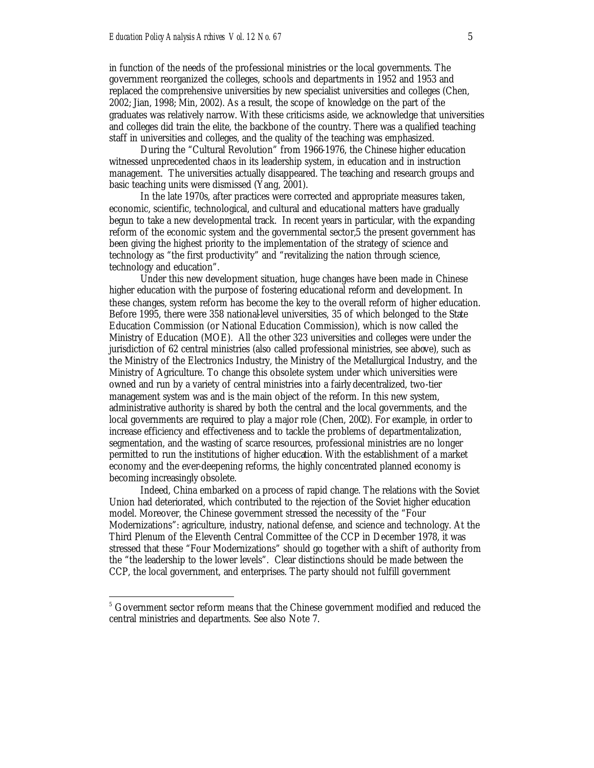in function of the needs of the professional ministries or the local governments. The government reorganized the colleges, schools and departments in 1952 and 1953 and replaced the comprehensive universities by new specialist universities and colleges (Chen, 2002; Jian, 1998; Min, 2002). As a result, the scope of knowledge on the part of the graduates was relatively narrow. With these criticisms aside, we acknowledge that universities and colleges did train the elite, the backbone of the country. There was a qualified teaching staff in universities and colleges, and the quality of the teaching was emphasized.

During the "Cultural Revolution" from 1966-1976, the Chinese higher education witnessed unprecedented chaos in its leadership system, in education and in instruction management. The universities actually disappeared. The teaching and research groups and basic teaching units were dismissed (Yang, 2001).

In the late 1970s, after practices were corrected and appropriate measures taken, economic, scientific, technological, and cultural and educational matters have gradually begun to take a new developmental track. In recent years in particular, with the expanding reform of the economic system and the governmental sector,5 the present government has been giving the highest priority to the implementation of the strategy of science and technology as "the first productivity" and "revitalizing the nation through science, technology and education".

Under this new development situation, huge changes have been made in Chinese higher education with the purpose of fostering educational reform and development. In these changes, system reform has become the key to the overall reform of higher education. Before 1995, there were 358 national-level universities, 35 of which belonged to the State Education Commission (or National Education Commission), which is now called the Ministry of Education (MOE). All the other 323 universities and colleges were under the jurisdiction of 62 central ministries (also called professional ministries, see above), such as the Ministry of the Electronics Industry, the Ministry of the Metallurgical Industry, and the Ministry of Agriculture. To change this obsolete system under which universities were owned and run by a variety of central ministries into a fairly decentralized, two-tier management system was and is the main object of the reform. In this new system, administrative authority is shared by both the central and the local governments, and the local governments are required to play a major role (Chen, 2002). For example, in order to increase efficiency and effectiveness and to tackle the problems of departmentalization, segmentation, and the wasting of scarce resources, professional ministries are no longer permitted to run the institutions of higher education. With the establishment of a market economy and the ever-deepening reforms, the highly concentrated planned economy is becoming increasingly obsolete.

Indeed, China embarked on a process of rapid change. The relations with the Soviet Union had deteriorated, which contributed to the rejection of the Soviet higher education model. Moreover, the Chinese government stressed the necessity of the "Four Modernizations": agriculture, industry, national defense, and science and technology. At the Third Plenum of the Eleventh Central Committee of the CCP in December 1978, it was stressed that these "Four Modernizations" should go together with a shift of authority from the "the leadership to the lower levels". Clear distinctions should be made between the CCP, the local government, and enterprises. The party should not fulfill government

<sup>&</sup>lt;sup>5</sup> Government sector reform means that the Chinese government modified and reduced the central ministries and departments. See also Note 7.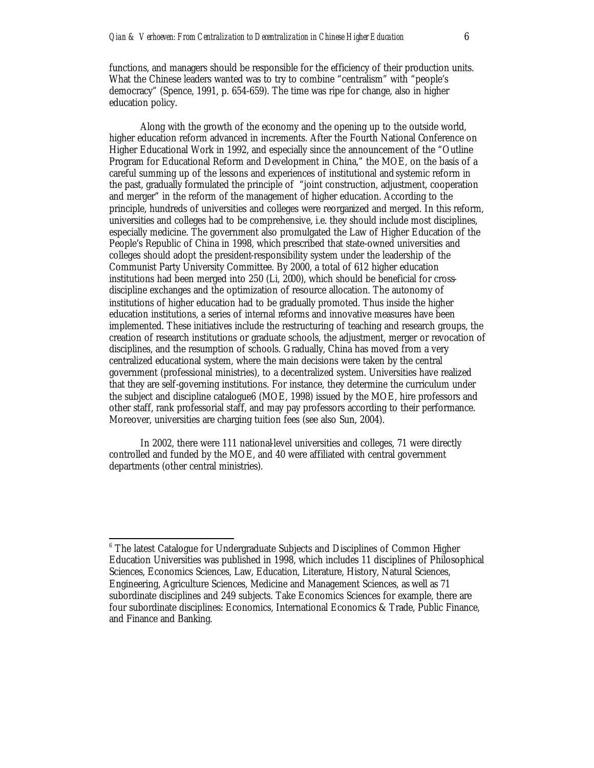functions, and managers should be responsible for the efficiency of their production units. What the Chinese leaders wanted was to try to combine "centralism" with "people's democracy" (Spence, 1991, p. 654-659). The time was ripe for change, also in higher education policy.

Along with the growth of the economy and the opening up to the outside world, higher education reform advanced in increments. After the Fourth National Conference on Higher Educational Work in 1992, and especially since the announcement of the "Outline Program for Educational Reform and Development in China," the MOE, on the basis of a careful summing up of the lessons and experiences of institutional and systemic reform in the past, gradually formulated the principle of "joint construction, adjustment, cooperation and merger" in the reform of the management of higher education. According to the principle, hundreds of universities and colleges were reorganized and merged. In this reform, universities and colleges had to be comprehensive, i.e. they should include most disciplines, especially medicine. The government also promulgated the Law of Higher Education of the People's Republic of China in 1998, which prescribed that state-owned universities and colleges should adopt the president-responsibility system under the leadership of the Communist Party University Committee. By 2000, a total of 612 higher education institutions had been merged into 250 (Li, 2000), which should be beneficial for crossdiscipline exchanges and the optimization of resource allocation. The autonomy of institutions of higher education had to be gradually promoted. Thus inside the higher education institutions, a series of internal reforms and innovative measures have been implemented. These initiatives include the restructuring of teaching and research groups, the creation of research institutions or graduate schools, the adjustment, merger or revocation of disciplines, and the resumption of schools. Gradually, China has moved from a very centralized educational system, where the main decisions were taken by the central government (professional ministries), to a decentralized system. Universities have realized that they are self-governing institutions. For instance, they determine the curriculum under the subject and discipline catalogue6 (MOE, 1998) issued by the MOE, hire professors and other staff, rank professorial staff, and may pay professors according to their performance. Moreover, universities are charging tuition fees (see also Sun, 2004).

In 2002, there were 111 national-level universities and colleges, 71 were directly controlled and funded by the MOE, and 40 were affiliated with central government departments (other central ministries).

<sup>&</sup>lt;sup>6</sup> The latest Catalogue for Undergraduate Subjects and Disciplines of Common Higher Education Universities was published in 1998, which includes 11 disciplines of Philosophical Sciences, Economics Sciences, Law, Education, Literature, History, Natural Sciences, Engineering, Agriculture Sciences, Medicine and Management Sciences, as well as 71 subordinate disciplines and 249 subjects. Take Economics Sciences for example, there are four subordinate disciplines: Economics, International Economics & Trade, Public Finance, and Finance and Banking.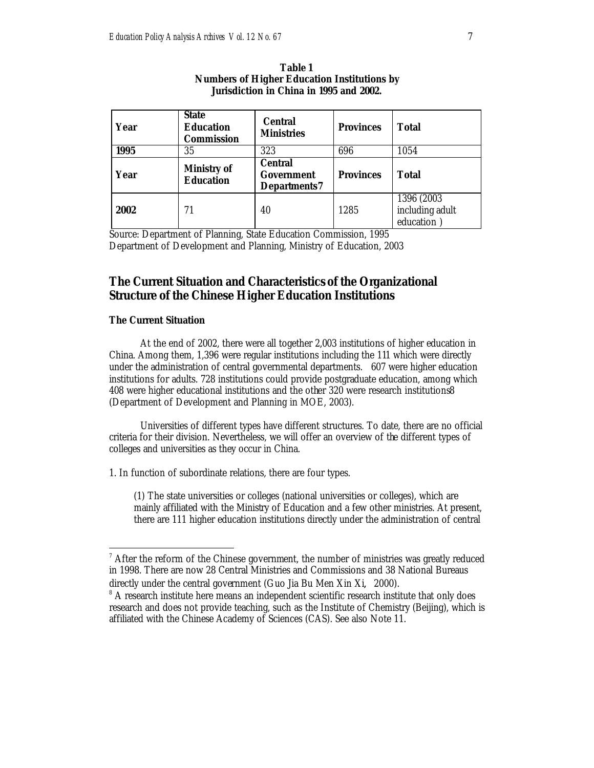| Year | <b>State</b><br><b>Education</b><br><b>Commission</b> | <b>Central</b><br><b>Ministries</b>                        | <b>Provinces</b> | <b>Total</b>                                 |
|------|-------------------------------------------------------|------------------------------------------------------------|------------------|----------------------------------------------|
| 1995 | 35                                                    | 323                                                        | 696              | 1054                                         |
| Year | <b>Ministry of</b><br><b>Education</b>                | <b>Central</b><br><b>Government</b><br><b>Departments7</b> | <b>Provinces</b> | <b>Total</b>                                 |
| 2002 | 71                                                    | 40                                                         | 1285             | 1396 (2003)<br>including adult<br>education) |

**Table 1 Numbers of Higher Education Institutions by Jurisdiction in China in 1995 and 2002.**

Source: Department of Planning, State Education Commission, 1995 Department of Development and Planning, Ministry of Education, 2003

## **The Current Situation and Characteristics of the Organizational Structure of the Chinese Higher Education Institutions**

#### **The Current Situation**

 $\overline{a}$ 

At the end of 2002, there were all together 2,003 institutions of higher education in China. Among them, 1,396 were regular institutions including the 111 which were directly under the administration of central governmental departments. 607 were higher education institutions for adults. 728 institutions could provide postgraduate education, among which 408 were higher educational institutions and the other 320 were research institutions8 (Department of Development and Planning in MOE, 2003).

Universities of different types have different structures. To date, there are no official criteria for their division. Nevertheless, we will offer an overview of the different types of colleges and universities as they occur in China.

1. In function of subordinate relations, there are four types.

(1) The state universities or colleges (national universities or colleges), which are mainly affiliated with the Ministry of Education and a few other ministries. At present, there are 111 higher education institutions directly under the administration of central

 $7$  After the reform of the Chinese government, the number of ministries was greatly reduced in 1998. There are now 28 Central Ministries and Commissions and 38 National Bureaus directly under the central government (Guo Jia Bu Men Xin Xi, 2000).

<sup>&</sup>lt;sup>8</sup> A research institute here means an independent scientific research institute that only does research and does not provide teaching, such as the Institute of Chemistry (Beijing), which is affiliated with the Chinese Academy of Sciences (CAS). See also Note 11.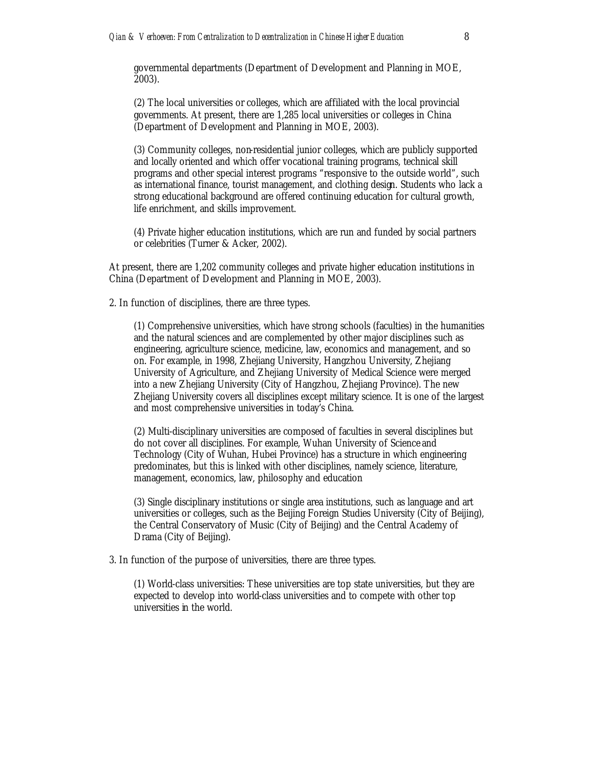governmental departments (Department of Development and Planning in MOE, 2003).

(2) The local universities or colleges, which are affiliated with the local provincial governments. At present, there are 1,285 local universities or colleges in China (Department of Development and Planning in MOE, 2003).

(3) Community colleges, non-residential junior colleges, which are publicly supported and locally oriented and which offer vocational training programs, technical skill programs and other special interest programs "responsive to the outside world", such as international finance, tourist management, and clothing design. Students who lack a strong educational background are offered continuing education for cultural growth, life enrichment, and skills improvement.

(4) Private higher education institutions, which are run and funded by social partners or celebrities (Turner & Acker, 2002).

At present, there are 1,202 community colleges and private higher education institutions in China (Department of Development and Planning in MOE, 2003).

2. In function of disciplines, there are three types.

(1) Comprehensive universities, which have strong schools (faculties) in the humanities and the natural sciences and are complemented by other major disciplines such as engineering, agriculture science, medicine, law, economics and management, and so on. For example, in 1998, Zhejiang University, Hangzhou University, Zhejiang University of Agriculture, and Zhejiang University of Medical Science were merged into a new Zhejiang University (City of Hangzhou, Zhejiang Province). The new Zhejiang University covers all disciplines except military science. It is one of the largest and most comprehensive universities in today's China.

(2) Multi-disciplinary universities are composed of faculties in several disciplines but do not cover all disciplines. For example, Wuhan University of Science and Technology (City of Wuhan, Hubei Province) has a structure in which engineering predominates, but this is linked with other disciplines, namely science, literature, management, economics, law, philosophy and education

(3) Single disciplinary institutions or single area institutions, such as language and art universities or colleges, such as the Beijing Foreign Studies University (City of Beijing), the Central Conservatory of Music (City of Beijing) and the Central Academy of Drama (City of Beijing).

3. In function of the purpose of universities, there are three types.

(1) World-class universities: These universities are top state universities, but they are expected to develop into world-class universities and to compete with other top universities in the world.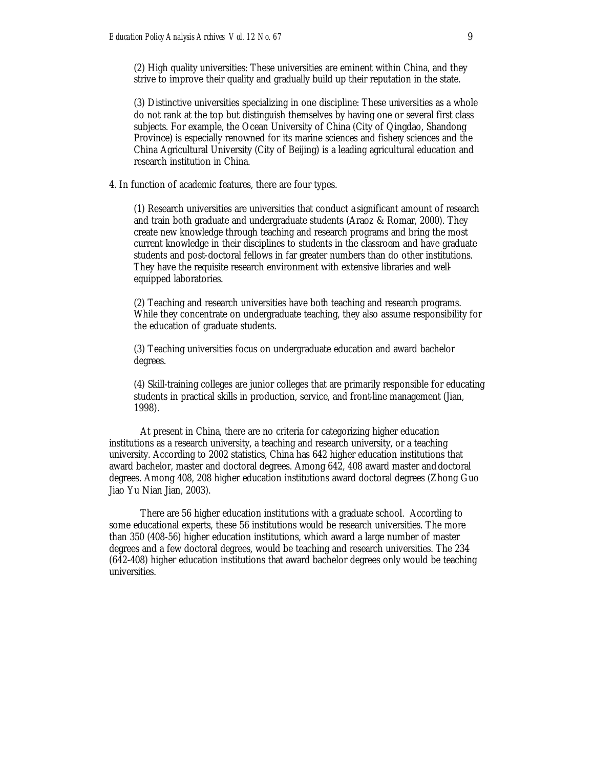(2) High quality universities: These universities are eminent within China, and they strive to improve their quality and gradually build up their reputation in the state.

(3) Distinctive universities specializing in one discipline: These universities as a whole do not rank at the top but distinguish themselves by having one or several first class subjects. For example, the Ocean University of China (City of Qingdao, Shandong Province) is especially renowned for its marine sciences and fishery sciences and the China Agricultural University (City of Beijing) is a leading agricultural education and research institution in China.

4. In function of academic features, there are four types.

(1) Research universities are universities that conduct a significant amount of research and train both graduate and undergraduate students (Araoz & Romar, 2000). They create new knowledge through teaching and research programs and bring the most current knowledge in their disciplines to students in the classroom and have graduate students and post-doctoral fellows in far greater numbers than do other institutions. They have the requisite research environment with extensive libraries and wellequipped laboratories.

(2) Teaching and research universities have both teaching and research programs. While they concentrate on undergraduate teaching, they also assume responsibility for the education of graduate students.

(3) Teaching universities focus on undergraduate education and award bachelor degrees.

(4) Skill-training colleges are junior colleges that are primarily responsible for educating students in practical skills in production, service, and front-line management (Jian, 1998).

At present in China, there are no criteria for categorizing higher education institutions as a research university, a teaching and research university, or a teaching university. According to 2002 statistics, China has 642 higher education institutions that award bachelor, master and doctoral degrees. Among 642, 408 award master and doctoral degrees. Among 408, 208 higher education institutions award doctoral degrees (Zhong Guo Jiao Yu Nian Jian, 2003).

There are 56 higher education institutions with a graduate school. According to some educational experts, these 56 institutions would be research universities. The more than 350 (408-56) higher education institutions, which award a large number of master degrees and a few doctoral degrees, would be teaching and research universities. The 234 (642-408) higher education institutions that award bachelor degrees only would be teaching universities.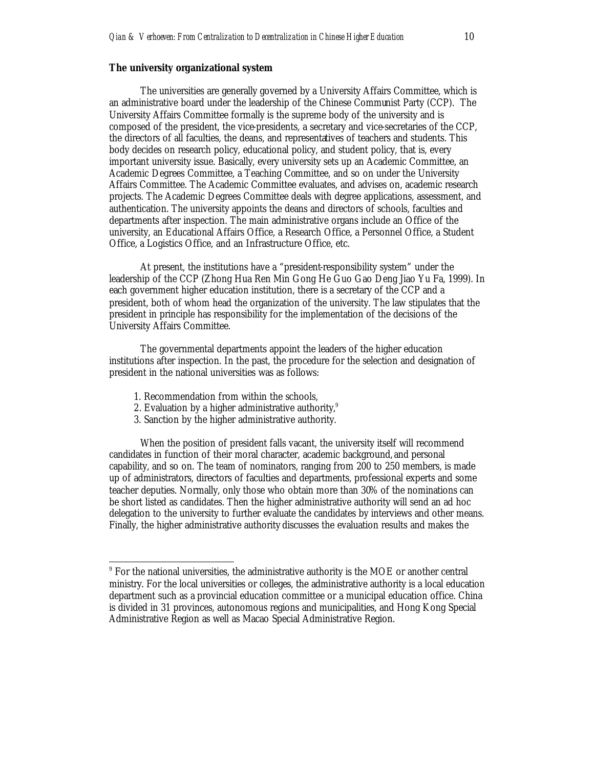#### **The university organizational system**

The universities are generally governed by a University Affairs Committee, which is an administrative board under the leadership of the Chinese Communist Party (CCP). The University Affairs Committee formally is the supreme body of the university and is composed of the president, the vice-presidents, a secretary and vice-secretaries of the CCP, the directors of all faculties, the deans, and representatives of teachers and students. This body decides on research policy, educational policy, and student policy, that is, every important university issue. Basically, every university sets up an Academic Committee, an Academic Degrees Committee, a Teaching Committee, and so on under the University Affairs Committee. The Academic Committee evaluates, and advises on, academic research projects. The Academic Degrees Committee deals with degree applications, assessment, and authentication. The university appoints the deans and directors of schools, faculties and departments after inspection. The main administrative organs include an Office of the university, an Educational Affairs Office, a Research Office, a Personnel Office, a Student Office, a Logistics Office, and an Infrastructure Office, etc.

At present, the institutions have a "president-responsibility system" under the leadership of the CCP (Zhong Hua Ren Min Gong He Guo Gao Deng Jiao Yu Fa, 1999). In each government higher education institution, there is a secretary of the CCP and a president, both of whom head the organization of the university. The law stipulates that the president in principle has responsibility for the implementation of the decisions of the University Affairs Committee.

The governmental departments appoint the leaders of the higher education institutions after inspection. In the past, the procedure for the selection and designation of president in the national universities was as follows:

1. Recommendation from within the schools,

 $\overline{a}$ 

- 2. Evaluation by a higher administrative authority, $9$
- 3. Sanction by the higher administrative authority.

When the position of president falls vacant, the university itself will recommend candidates in function of their moral character, academic background, and personal capability, and so on. The team of nominators, ranging from 200 to 250 members, is made up of administrators, directors of faculties and departments, professional experts and some teacher deputies. Normally, only those who obtain more than 30% of the nominations can be short listed as candidates. Then the higher administrative authority will send an ad hoc delegation to the university to further evaluate the candidates by interviews and other means. Finally, the higher administrative authority discusses the evaluation results and makes the

<sup>&</sup>lt;sup>9</sup> For the national universities, the administrative authority is the MOE or another central ministry. For the local universities or colleges, the administrative authority is a local education department such as a provincial education committee or a municipal education office. China is divided in 31 provinces, autonomous regions and municipalities, and Hong Kong Special Administrative Region as well as Macao Special Administrative Region.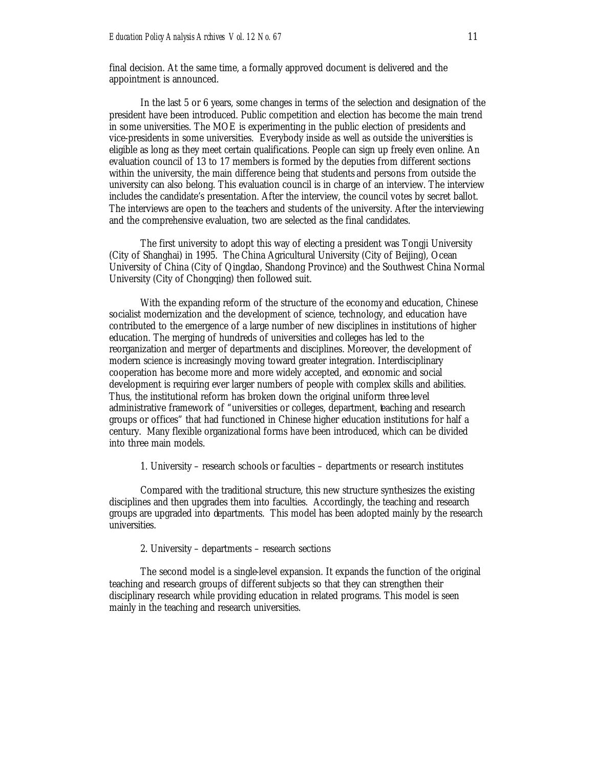final decision. At the same time, a formally approved document is delivered and the appointment is announced.

In the last 5 or 6 years, some changes in terms of the selection and designation of the president have been introduced. Public competition and election has become the main trend in some universities. The MOE is experimenting in the public election of presidents and vice-presidents in some universities. Everybody inside as well as outside the universities is eligible as long as they meet certain qualifications. People can sign up freely even online. An evaluation council of 13 to 17 members is formed by the deputies from different sections within the university, the main difference being that students and persons from outside the university can also belong. This evaluation council is in charge of an interview. The interview includes the candidate's presentation. After the interview, the council votes by secret ballot. The interviews are open to the teachers and students of the university. After the interviewing and the comprehensive evaluation, two are selected as the final candidates.

The first university to adopt this way of electing a president was Tongji University (City of Shanghai) in 1995. The China Agricultural University (City of Beijing), Ocean University of China (City of Qingdao, Shandong Province) and the Southwest China Normal University (City of Chongqing) then followed suit.

With the expanding reform of the structure of the economy and education, Chinese socialist modernization and the development of science, technology, and education have contributed to the emergence of a large number of new disciplines in institutions of higher education. The merging of hundreds of universities and colleges has led to the reorganization and merger of departments and disciplines. Moreover, the development of modern science is increasingly moving toward greater integration. Interdisciplinary cooperation has become more and more widely accepted, and economic and social development is requiring ever larger numbers of people with complex skills and abilities. Thus, the institutional reform has broken down the original uniform three-level administrative framework of "universities or colleges, department, teaching and research groups or offices" that had functioned in Chinese higher education institutions for half a century. Many flexible organizational forms have been introduced, which can be divided into three main models.

1. University – research schools or faculties – departments or research institutes

Compared with the traditional structure, this new structure synthesizes the existing disciplines and then upgrades them into faculties. Accordingly, the teaching and research groups are upgraded into departments. This model has been adopted mainly by the research universities.

2. University – departments – research sections

The second model is a single-level expansion. It expands the function of the original teaching and research groups of different subjects so that they can strengthen their disciplinary research while providing education in related programs. This model is seen mainly in the teaching and research universities.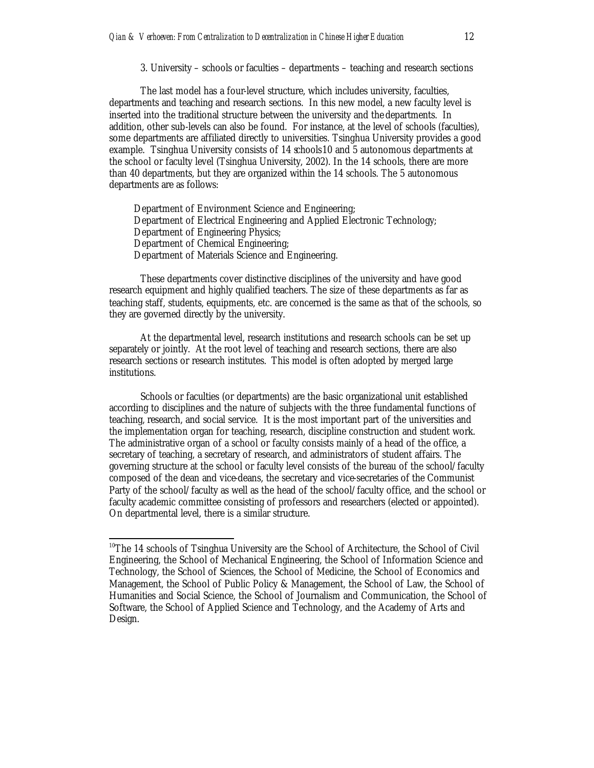3. University – schools or faculties – departments – teaching and research sections

The last model has a four-level structure, which includes university, faculties, departments and teaching and research sections. In this new model, a new faculty level is inserted into the traditional structure between the university and the departments. In addition, other sub-levels can also be found. For instance, at the level of schools (faculties), some departments are affiliated directly to universities. Tsinghua University provides a good example. Tsinghua University consists of 14 schools10 and 5 autonomous departments at the school or faculty level (Tsinghua University, 2002). In the 14 schools, there are more than 40 departments, but they are organized within the 14 schools. The 5 autonomous departments are as follows:

Department of Environment Science and Engineering; Department of Electrical Engineering and Applied Electronic Technology; Department of Engineering Physics; Department of Chemical Engineering; Department of Materials Science and Engineering.

These departments cover distinctive disciplines of the university and have good research equipment and highly qualified teachers. The size of these departments as far as teaching staff, students, equipments, etc. are concerned is the same as that of the schools, so they are governed directly by the university.

At the departmental level, research institutions and research schools can be set up separately or jointly. At the root level of teaching and research sections, there are also research sections or research institutes. This model is often adopted by merged large institutions.

Schools or faculties (or departments) are the basic organizational unit established according to disciplines and the nature of subjects with the three fundamental functions of teaching, research, and social service. It is the most important part of the universities and the implementation organ for teaching, research, discipline construction and student work. The administrative organ of a school or faculty consists mainly of a head of the office, a secretary of teaching, a secretary of research, and administrators of student affairs. The governing structure at the school or faculty level consists of the bureau of the school/faculty composed of the dean and vice-deans, the secretary and vice-secretaries of the Communist Party of the school/faculty as well as the head of the school/faculty office, and the school or faculty academic committee consisting of professors and researchers (elected or appointed). On departmental level, there is a similar structure.

 $10$ The 14 schools of Tsinghua University are the School of Architecture, the School of Civil Engineering, the School of Mechanical Engineering, the School of Information Science and Technology, the School of Sciences, the School of Medicine, the School of Economics and Management, the School of Public Policy & Management, the School of Law, the School of Humanities and Social Science, the School of Journalism and Communication, the School of Software, the School of Applied Science and Technology, and the Academy of Arts and Design.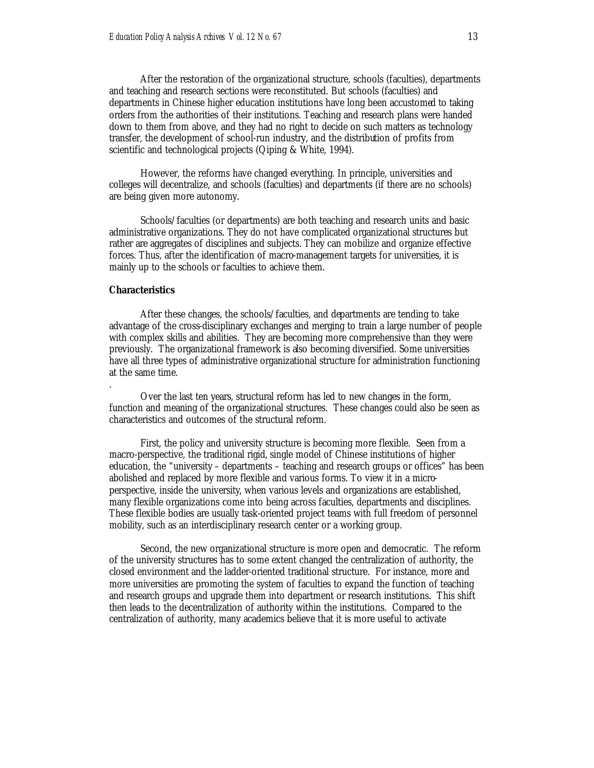After the restoration of the organizational structure, schools (faculties), departments and teaching and research sections were reconstituted. But schools (faculties) and departments in Chinese higher education institutions have long been accustomed to taking orders from the authorities of their institutions. Teaching and research plans were handed down to them from above, and they had no right to decide on such matters as technology transfer, the development of school-run industry, and the distribution of profits from scientific and technological projects (Qiping & White, 1994).

However, the reforms have changed everything. In principle, universities and colleges will decentralize, and schools (faculties) and departments (if there are no schools) are being given more autonomy.

Schools/faculties (or departments) are both teaching and research units and basic administrative organizations. They do not have complicated organizational structures but rather are aggregates of disciplines and subjects. They can mobilize and organize effective forces. Thus, after the identification of macro-management targets for universities, it is mainly up to the schools or faculties to achieve them.

#### **Characteristics**

.

After these changes, the schools/faculties, and departments are tending to take advantage of the cross-disciplinary exchanges and merging to train a large number of people with complex skills and abilities. They are becoming more comprehensive than they were previously. The organizational framework is also becoming diversified. Some universities have all three types of administrative organizational structure for administration functioning at the same time.

Over the last ten years, structural reform has led to new changes in the form, function and meaning of the organizational structures. These changes could also be seen as characteristics and outcomes of the structural reform.

First, the policy and university structure is becoming more flexible. Seen from a macro-perspective, the traditional rigid, single model of Chinese institutions of higher education, the "university – departments – teaching and research groups or offices" has been abolished and replaced by more flexible and various forms. To view it in a microperspective, inside the university, when various levels and organizations are established, many flexible organizations come into being across faculties, departments and disciplines. These flexible bodies are usually task-oriented project teams with full freedom of personnel mobility, such as an interdisciplinary research center or a working group.

Second, the new organizational structure is more open and democratic. The reform of the university structures has to some extent changed the centralization of authority, the closed environment and the ladder-oriented traditional structure. For instance, more and more universities are promoting the system of faculties to expand the function of teaching and research groups and upgrade them into department or research institutions. This shift then leads to the decentralization of authority within the institutions. Compared to the centralization of authority, many academics believe that it is more useful to activate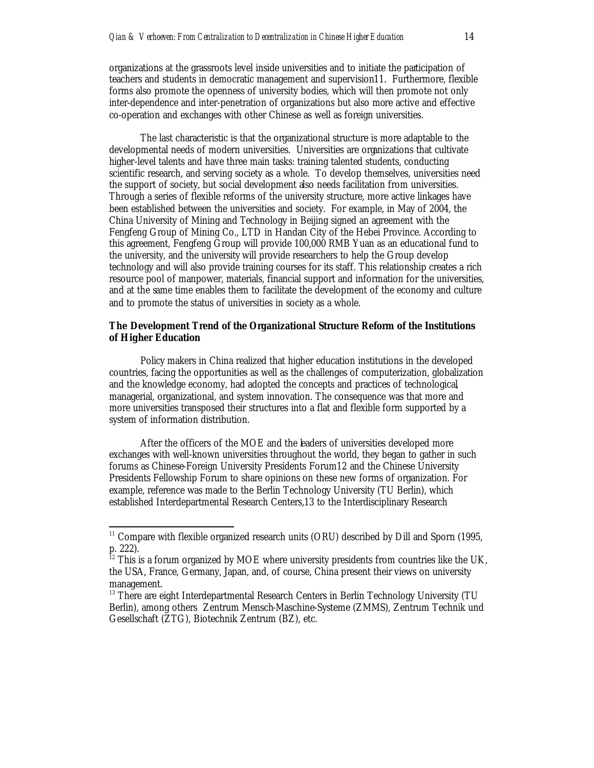organizations at the grassroots level inside universities and to initiate the participation of teachers and students in democratic management and supervision11. Furthermore, flexible forms also promote the openness of university bodies, which will then promote not only inter-dependence and inter-penetration of organizations but also more active and effective co-operation and exchanges with other Chinese as well as foreign universities.

The last characteristic is that the organizational structure is more adaptable to the developmental needs of modern universities. Universities are organizations that cultivate higher-level talents and have three main tasks: training talented students, conducting scientific research, and serving society as a whole. To develop themselves, universities need the support of society, but social development also needs facilitation from universities. Through a series of flexible reforms of the university structure, more active linkages have been established between the universities and society. For example, in May of 2004, the China University of Mining and Technology in Beijing signed an agreement with the Fengfeng Group of Mining Co., LTD in Handan City of the Hebei Province. According to this agreement, Fengfeng Group will provide 100,000 RMB Yuan as an educational fund to the university, and the university will provide researchers to help the Group develop technology and will also provide training courses for its staff. This relationship creates a rich resource pool of manpower, materials, financial support and information for the universities, and at the same time enables them to facilitate the development of the economy and culture and to promote the status of universities in society as a whole.

#### **The Development Trend of the Organizational Structure Reform of the Institutions of Higher Education**

Policy makers in China realized that higher education institutions in the developed countries, facing the opportunities as well as the challenges of computerization, globalization and the knowledge economy, had adopted the concepts and practices of technological, managerial, organizational, and system innovation. The consequence was that more and more universities transposed their structures into a flat and flexible form supported by a system of information distribution.

After the officers of the MOE and the leaders of universities developed more exchanges with well-known universities throughout the world, they began to gather in such forums as Chinese-Foreign University Presidents Forum12 and the Chinese University Presidents Fellowship Forum to share opinions on these new forms of organization. For example, reference was made to the Berlin Technology University (TU Berlin), which established Interdepartmental Research Centers,13 to the Interdisciplinary Research

 $11$  Compare with flexible organized research units (ORU) described by Dill and Sporn (1995, p. 222).

 $12$  This is a forum organized by MOE where university presidents from countries like the UK, the USA, France, Germany, Japan, and, of course, China present their views on university management.

<sup>&</sup>lt;sup>13</sup> There are eight Interdepartmental Research Centers in Berlin Technology University (TU Berlin), among others Zentrum Mensch-Maschine-Systeme (ZMMS), Zentrum Technik und Gesellschaft (ZTG), Biotechnik Zentrum (BZ), etc.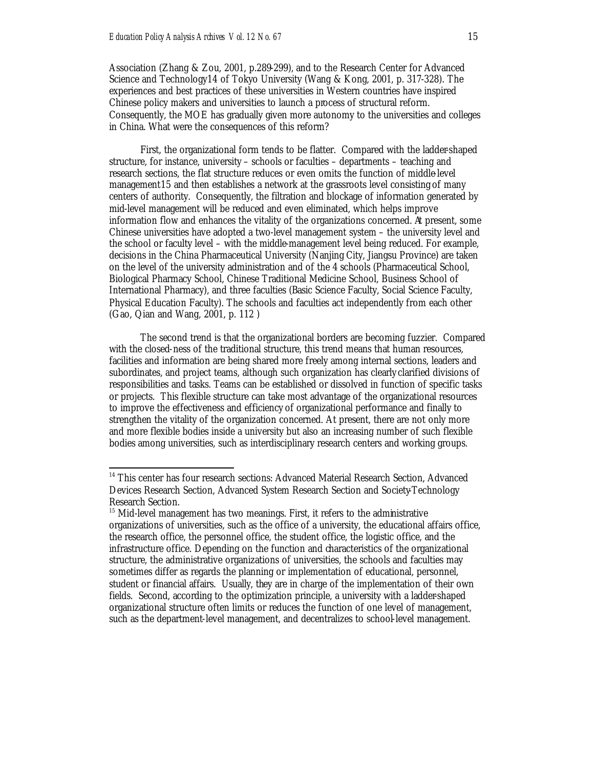$\overline{a}$ 

Association (Zhang & Zou, 2001, p.289-299), and to the Research Center for Advanced Science and Technology14 of Tokyo University (Wang & Kong, 2001, p. 317-328). The experiences and best practices of these universities in Western countries have inspired Chinese policy makers and universities to launch a process of structural reform. Consequently, the MOE has gradually given more autonomy to the universities and colleges in China. What were the consequences of this reform?

First, the organizational form tends to be flatter. Compared with the ladder-shaped structure, for instance, university – schools or faculties – departments – teaching and research sections, the flat structure reduces or even omits the function of middle-level management15 and then establishes a network at the grassroots level consisting of many centers of authority. Consequently, the filtration and blockage of information generated by mid-level management will be reduced and even eliminated, which helps improve information flow and enhances the vitality of the organizations concerned. At present, some Chinese universities have adopted a two-level management system – the university level and the school or faculty level – with the middle-management level being reduced. For example, decisions in the China Pharmaceutical University (Nanjing City, Jiangsu Province) are taken on the level of the university administration and of the 4 schools (Pharmaceutical School, Biological Pharmacy School, Chinese Traditional Medicine School, Business School of International Pharmacy), and three faculties (Basic Science Faculty, Social Science Faculty, Physical Education Faculty). The schools and faculties act independently from each other (Gao, Qian and Wang, 2001, p. 112 )

The second trend is that the organizational borders are becoming fuzzier. Compared with the closed-ness of the traditional structure, this trend means that human resources, facilities and information are being shared more freely among internal sections, leaders and subordinates, and project teams, although such organization has clearly clarified divisions of responsibilities and tasks. Teams can be established or dissolved in function of specific tasks or projects. This flexible structure can take most advantage of the organizational resources to improve the effectiveness and efficiency of organizational performance and finally to strengthen the vitality of the organization concerned. At present, there are not only more and more flexible bodies inside a university but also an increasing number of such flexible bodies among universities, such as interdisciplinary research centers and working groups.

<sup>&</sup>lt;sup>14</sup> This center has four research sections: Advanced Material Research Section, Advanced Devices Research Section, Advanced System Research Section and Society-Technology Research Section.

<sup>&</sup>lt;sup>15</sup> Mid-level management has two meanings. First, it refers to the administrative organizations of universities, such as the office of a university, the educational affairs office, the research office, the personnel office, the student office, the logistic office, and the infrastructure office. Depending on the function and characteristics of the organizational structure, the administrative organizations of universities, the schools and faculties may sometimes differ as regards the planning or implementation of educational, personnel, student or financial affairs. Usually, they are in charge of the implementation of their own fields. Second, according to the optimization principle, a university with a ladder-shaped organizational structure often limits or reduces the function of one level of management, such as the department-level management, and decentralizes to school-level management.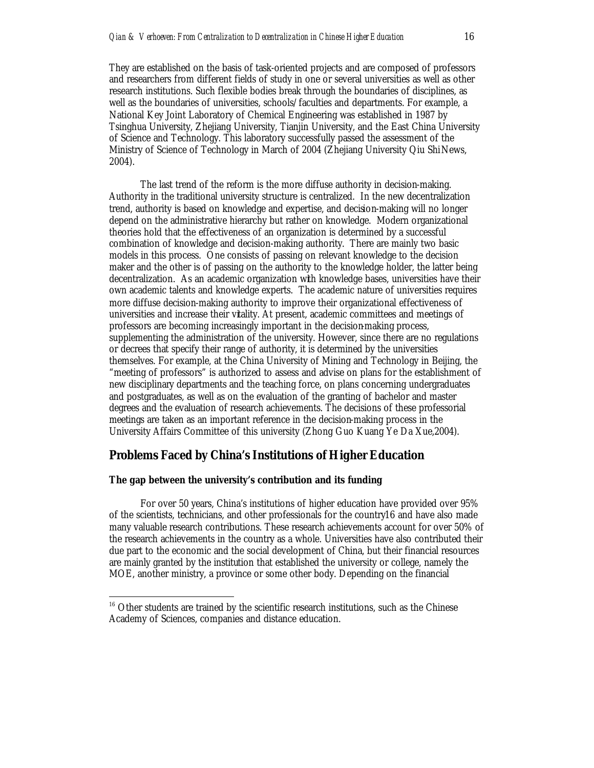They are established on the basis of task-oriented projects and are composed of professors and researchers from different fields of study in one or several universities as well as other research institutions. Such flexible bodies break through the boundaries of disciplines, as well as the boundaries of universities, schools/faculties and departments. For example, a National Key Joint Laboratory of Chemical Engineering was established in 1987 by Tsinghua University, Zhejiang University, Tianjin University, and the East China University of Science and Technology. This laboratory successfully passed the assessment of the Ministry of Science of Technology in March of 2004 (Zhejiang University Qiu Shi News, 2004).

The last trend of the reform is the more diffuse authority in decision-making. Authority in the traditional university structure is centralized. In the new decentralization trend, authority is based on knowledge and expertise, and decision-making will no longer depend on the administrative hierarchy but rather on knowledge. Modern organizational theories hold that the effectiveness of an organization is determined by a successful combination of knowledge and decision-making authority. There are mainly two basic models in this process. One consists of passing on relevant knowledge to the decision maker and the other is of passing on the authority to the knowledge holder, the latter being decentralization. As an academic organization with knowledge bases, universities have their own academic talents and knowledge experts. The academic nature of universities requires more diffuse decision-making authority to improve their organizational effectiveness of universities and increase their vitality. At present, academic committees and meetings of professors are becoming increasingly important in the decision-making process, supplementing the administration of the university. However, since there are no regulations or decrees that specify their range of authority, it is determined by the universities themselves. For example, at the China University of Mining and Technology in Beijing, the "meeting of professors" is authorized to assess and advise on plans for the establishment of new disciplinary departments and the teaching force, on plans concerning undergraduates and postgraduates, as well as on the evaluation of the granting of bachelor and master degrees and the evaluation of research achievements. The decisions of these professorial meetings are taken as an important reference in the decision-making process in the University Affairs Committee of this university (Zhong Guo Kuang Ye Da Xue,2004).

#### **Problems Faced by China's Institutions of Higher Education**

#### **The gap between the university's contribution and its funding**

 $\overline{a}$ 

For over 50 years, China's institutions of higher education have provided over 95% of the scientists, technicians, and other professionals for the country16 and have also made many valuable research contributions. These research achievements account for over 50% of the research achievements in the country as a whole. Universities have also contributed their due part to the economic and the social development of China, but their financial resources are mainly granted by the institution that established the university or college, namely the MOE, another ministry, a province or some other body. Depending on the financial

<sup>&</sup>lt;sup>16</sup> Other students are trained by the scientific research institutions, such as the Chinese Academy of Sciences, companies and distance education.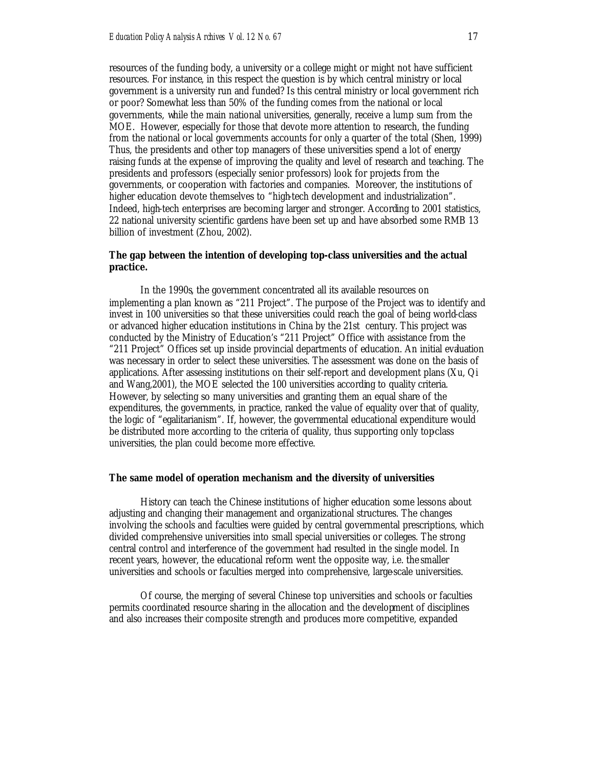resources of the funding body, a university or a college might or might not have sufficient resources. For instance, in this respect the question is by which central ministry or local government is a university run and funded? Is this central ministry or local government rich or poor? Somewhat less than 50% of the funding comes from the national or local governments, while the main national universities, generally, receive a lump sum from the MOE. However, especially for those that devote more attention to research, the funding from the national or local governments accounts for only a quarter of the total (Shen, 1999). Thus, the presidents and other top managers of these universities spend a lot of energy raising funds at the expense of improving the quality and level of research and teaching. The presidents and professors (especially senior professors) look for projects from the governments, or cooperation with factories and companies. Moreover, the institutions of higher education devote themselves to "high-tech development and industrialization". Indeed, high-tech enterprises are becoming larger and stronger. According to 2001 statistics, 22 national university scientific gardens have been set up and have absorbed some RMB 13 billion of investment (Zhou, 2002).

#### **The gap between the intention of developing top-class universities and the actual practice.**

In the 1990s, the government concentrated all its available resources on implementing a plan known as "211 Project". The purpose of the Project was to identify and invest in 100 universities so that these universities could reach the goal of being world-class or advanced higher education institutions in China by the 21st century. This project was conducted by the Ministry of Education's "211 Project" Office with assistance from the "211 Project" Offices set up inside provincial departments of education. An initial evaluation was necessary in order to select these universities. The assessment was done on the basis of applications. After assessing institutions on their self-report and development plans (Xu, Qi and Wang,2001), the MOE selected the 100 universities according to quality criteria. However, by selecting so many universities and granting them an equal share of the expenditures, the governments, in practice, ranked the value of equality over that of quality, the logic of "egalitarianism". If, however, the governmental educational expenditure would be distributed more according to the criteria of quality, thus supporting only top-class universities, the plan could become more effective.

#### **The same model of operation mechanism and the diversity of universities**

History can teach the Chinese institutions of higher education some lessons about adjusting and changing their management and organizational structures. The changes involving the schools and faculties were guided by central governmental prescriptions, which divided comprehensive universities into small special universities or colleges. The strong central control and interference of the government had resulted in the single model. In recent years, however, the educational reform went the opposite way, i.e. the smaller universities and schools or faculties merged into comprehensive, large-scale universities.

Of course, the merging of several Chinese top universities and schools or faculties permits coordinated resource sharing in the allocation and the development of disciplines and also increases their composite strength and produces more competitive, expanded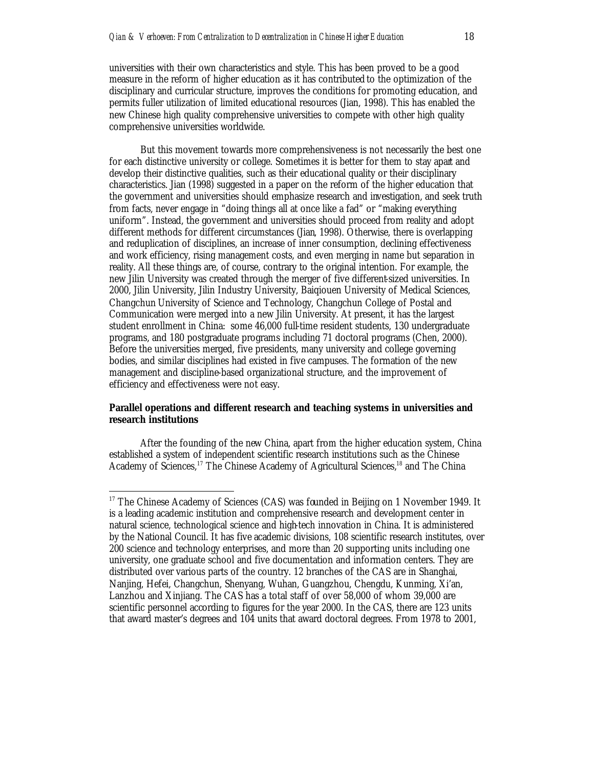universities with their own characteristics and style. This has been proved to be a good measure in the reform of higher education as it has contributed to the optimization of the disciplinary and curricular structure, improves the conditions for promoting education, and permits fuller utilization of limited educational resources (Jian, 1998). This has enabled the new Chinese high quality comprehensive universities to compete with other high quality comprehensive universities worldwide.

But this movement towards more comprehensiveness is not necessarily the best one for each distinctive university or college. Sometimes it is better for them to stay apart and develop their distinctive qualities, such as their educational quality or their disciplinary characteristics. Jian (1998) suggested in a paper on the reform of the higher education that the government and universities should emphasize research and investigation, and seek truth from facts, never engage in "doing things all at once like a fad" or "making everything uniform". Instead, the government and universities should proceed from reality and adopt different methods for different circumstances (Jian, 1998). Otherwise, there is overlapping and reduplication of disciplines, an increase of inner consumption, declining effectiveness and work efficiency, rising management costs, and even merging in name but separation in reality. All these things are, of course, contrary to the original intention. For example, the new Jilin University was created through the merger of five different-sized universities. In 2000, Jilin University, Jilin Industry University, Baiqiouen University of Medical Sciences, Changchun University of Science and Technology, Changchun College of Postal and Communication were merged into a new Jilin University. At present, it has the largest student enrollment in China: some 46,000 full-time resident students, 130 undergraduate programs, and 180 postgraduate programs including 71 doctoral programs (Chen, 2000). Before the universities merged, five presidents, many university and college governing bodies, and similar disciplines had existed in five campuses. The formation of the new management and discipline-based organizational structure, and the improvement of efficiency and effectiveness were not easy.

#### **Parallel operations and different research and teaching systems in universities and research institutions**

After the founding of the new China, apart from the higher education system, China established a system of independent scientific research institutions such as the Chinese Academy of Sciences,<sup>17</sup> The Chinese Academy of Agricultural Sciences,<sup>18</sup> and The China

<sup>&</sup>lt;sup>17</sup> The Chinese Academy of Sciences (CAS) was founded in Beijing on 1 November 1949. It is a leading academic institution and comprehensive research and development center in natural science, technological science and high-tech innovation in China. It is administered by the National Council. It has five academic divisions, 108 scientific research institutes, over 200 science and technology enterprises, and more than 20 supporting units including one university, one graduate school and five documentation and information centers. They are distributed over various parts of the country. 12 branches of the CAS are in Shanghai, Nanjing, Hefei, Changchun, Shenyang, Wuhan, Guangzhou, Chengdu, Kunming, Xi'an, Lanzhou and Xinjiang. The CAS has a total staff of over 58,000 of whom 39,000 are scientific personnel according to figures for the year 2000. In the CAS, there are 123 units that award master's degrees and 104 units that award doctoral degrees. From 1978 to 2001,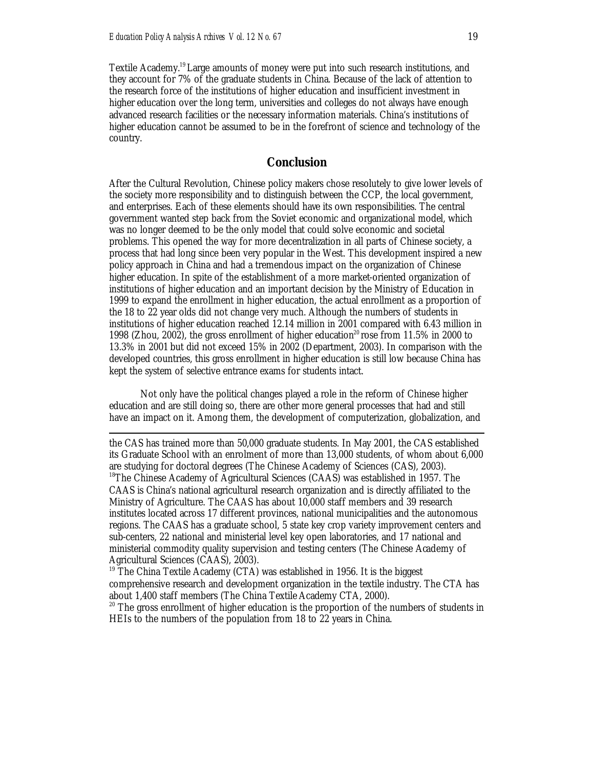$\overline{a}$ 

Textile Academy.<sup>19</sup> Large amounts of money were put into such research institutions, and they account for 7% of the graduate students in China. Because of the lack of attention to the research force of the institutions of higher education and insufficient investment in higher education over the long term, universities and colleges do not always have enough advanced research facilities or the necessary information materials. China's institutions of higher education cannot be assumed to be in the forefront of science and technology of the country.

#### **Conclusion**

After the Cultural Revolution, Chinese policy makers chose resolutely to give lower levels of the society more responsibility and to distinguish between the CCP, the local government, and enterprises. Each of these elements should have its own responsibilities. The central government wanted step back from the Soviet economic and organizational model, which was no longer deemed to be the only model that could solve economic and societal problems. This opened the way for more decentralization in all parts of Chinese society, a process that had long since been very popular in the West. This development inspired a new policy approach in China and had a tremendous impact on the organization of Chinese higher education. In spite of the establishment of a more market-oriented organization of institutions of higher education and an important decision by the Ministry of Education in 1999 to expand the enrollment in higher education, the actual enrollment as a proportion of the 18 to 22 year olds did not change very much. Although the numbers of students in institutions of higher education reached 12.14 million in 2001 compared with 6.43 million in 1998 (Zhou, 2002), the gross enrollment of higher education<sup>20</sup> rose from 11.5% in 2000 to 13.3% in 2001 but did not exceed 15% in 2002 (Department, 2003). In comparison with the developed countries, this gross enrollment in higher education is still low because China has kept the system of selective entrance exams for students intact.

Not only have the political changes played a role in the reform of Chinese higher education and are still doing so, there are other more general processes that had and still have an impact on it. Among them, the development of computerization, globalization, and

the CAS has trained more than 50,000 graduate students. In May 2001, the CAS established its Graduate School with an enrolment of more than 13,000 students, of whom about 6,000 are studying for doctoral degrees (The Chinese Academy of Sciences (CAS), 2003). <sup>18</sup>The Chinese Academy of Agricultural Sciences (CAAS) was established in 1957. The CAAS is China's national agricultural research organization and is directly affiliated to the Ministry of Agriculture. The CAAS has about 10,000 staff members and 39 research institutes located across 17 different provinces, national municipalities and the autonomous regions. The CAAS has a graduate school, 5 state key crop variety improvement centers and sub-centers, 22 national and ministerial level key open laboratories, and 17 national and ministerial commodity quality supervision and testing centers (The Chinese Academy of Agricultural Sciences (CAAS), 2003).

 $19$ <sup>The China Textile Academy (CTA)</sup> was established in 1956. It is the biggest comprehensive research and development organization in the textile industry. The CTA has about 1,400 staff members (The China Textile Academy CTA, 2000).

<sup>20</sup> The gross enrollment of higher education is the proportion of the numbers of students in HEIs to the numbers of the population from 18 to 22 years in China.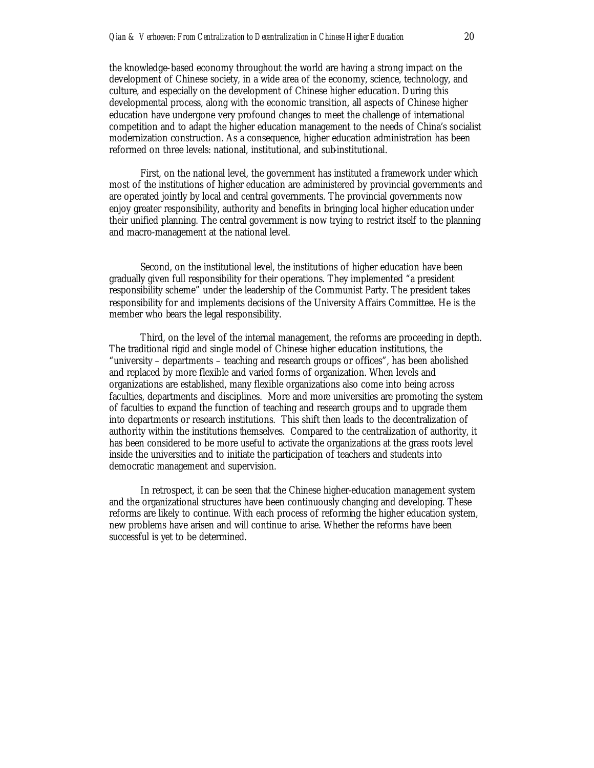the knowledge-based economy throughout the world are having a strong impact on the development of Chinese society, in a wide area of the economy, science, technology, and culture, and especially on the development of Chinese higher education. During this developmental process, along with the economic transition, all aspects of Chinese higher education have undergone very profound changes to meet the challenge of international competition and to adapt the higher education management to the needs of China's socialist modernization construction. As a consequence, higher education administration has been reformed on three levels: national, institutional, and sub-institutional.

First, on the national level, the government has instituted a framework under which most of the institutions of higher education are administered by provincial governments and are operated jointly by local and central governments. The provincial governments now enjoy greater responsibility, authority and benefits in bringing local higher education under their unified planning. The central government is now trying to restrict itself to the planning and macro-management at the national level.

Second, on the institutional level, the institutions of higher education have been gradually given full responsibility for their operations. They implemented "a president responsibility scheme" under the leadership of the Communist Party. The president takes responsibility for and implements decisions of the University Affairs Committee. He is the member who bears the legal responsibility.

Third, on the level of the internal management, the reforms are proceeding in depth. The traditional rigid and single model of Chinese higher education institutions, the "university – departments – teaching and research groups or offices", has been abolished and replaced by more flexible and varied forms of organization. When levels and organizations are established, many flexible organizations also come into being across faculties, departments and disciplines. More and more universities are promoting the system of faculties to expand the function of teaching and research groups and to upgrade them into departments or research institutions. This shift then leads to the decentralization of authority within the institutions themselves. Compared to the centralization of authority, it has been considered to be more useful to activate the organizations at the grass roots level inside the universities and to initiate the participation of teachers and students into democratic management and supervision.

In retrospect, it can be seen that the Chinese higher-education management system and the organizational structures have been continuously changing and developing. These reforms are likely to continue. With each process of reforming the higher education system, new problems have arisen and will continue to arise. Whether the reforms have been successful is yet to be determined.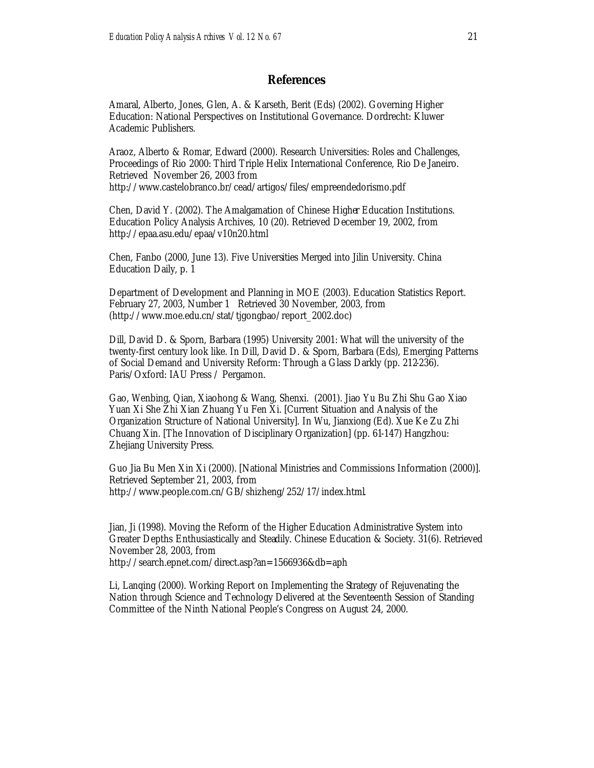#### **References**

Amaral, Alberto, Jones, Glen, A. & Karseth, Berit (Eds) (2002). Governing Higher Education: National Perspectives on Institutional Governance. Dordrecht: Kluwer Academic Publishers.

Araoz, Alberto & Romar, Edward (2000). Research Universities: Roles and Challenges, Proceedings of Rio 2000: Third Triple Helix International Conference, Rio De Janeiro. Retrieved November 26, 2003 from http://www.castelobranco.br/cead/artigos/files/empreendedorismo.pdf

Chen, David Y. (2002). The Amalgamation of Chinese Higher Education Institutions. Education Policy Analysis Archives, 10 (20). Retrieved December 19, 2002, from http://epaa.asu.edu/epaa/v10n20.html

Chen, Fanbo (2000, June 13). Five Universities Merged into Jilin University. China Education Daily, p. 1

Department of Development and Planning in MOE (2003). Education Statistics Report. February 27, 2003, Number 1 Retrieved 30 November, 2003, from (http://www.moe.edu.cn/stat/tjgongbao/report\_2002.doc)

Dill, David D. & Sporn, Barbara (1995) University 2001: What will the university of the twenty-first century look like. In Dill, David D. & Sporn, Barbara (Eds), Emerging Patterns of Social Demand and University Reform: Through a Glass Darkly (pp. 212-236). Paris/Oxford: IAU Press / Pergamon.

Gao, Wenbing, Qian, Xiaohong & Wang, Shenxi. (2001). Jiao Yu Bu Zhi Shu Gao Xiao Yuan Xi She Zhi Xian Zhuang Yu Fen Xi. [Current Situation and Analysis of the Organization Structure of National University]. In Wu, Jianxiong (Ed). Xue Ke Zu Zhi Chuang Xin. [The Innovation of Disciplinary Organization] (pp. 61-147) Hangzhou: Zhejiang University Press.

Guo Jia Bu Men Xin Xi (2000). [National Ministries and Commissions Information (2000)]. Retrieved September 21, 2003, from http://www.people.com.cn/GB/shizheng/252/17/index.html.

Jian, Ji (1998). Moving the Reform of the Higher Education Administrative System into Greater Depths Enthusiastically and Steadily. Chinese Education & Society. 31(6). Retrieved November 28, 2003, from http://search.epnet.com/direct.asp?an=1566936&db=aph

Li, Lanqing (2000). Working Report on Implementing the Strategy of Rejuvenating the Nation through Science and Technology Delivered at the Seventeenth Session of Standing Committee of the Ninth National People's Congress on August 24, 2000.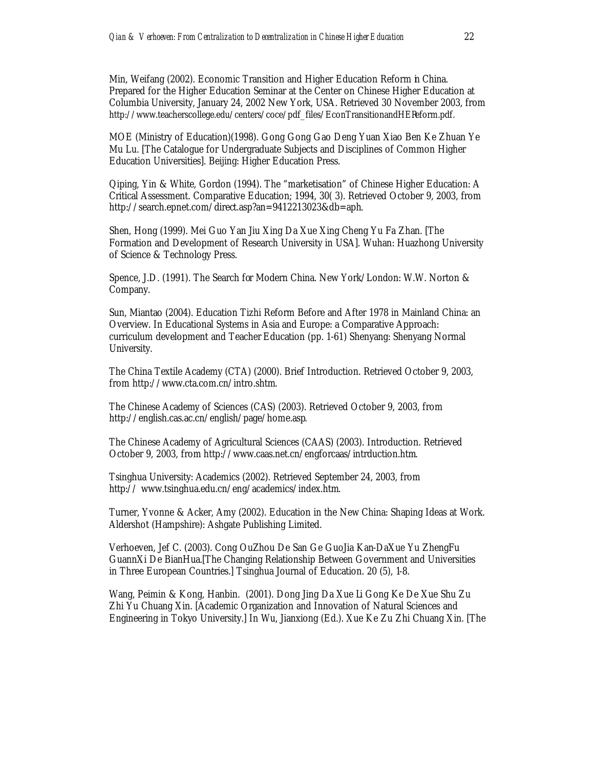Min, Weifang (2002). Economic Transition and Higher Education Reform in China. Prepared for the Higher Education Seminar at the Center on Chinese Higher Education at Columbia University, January 24, 2002 New York, USA. Retrieved 30 November 2003, from http://www.teacherscollege.edu/centers/coce/pdf\_files/EconTransitionandHEReform.pdf.

MOE (Ministry of Education)(1998). Gong Gong Gao Deng Yuan Xiao Ben Ke Zhuan Ye Mu Lu. [The Catalogue for Undergraduate Subjects and Disciplines of Common Higher Education Universities]. Beijing: Higher Education Press.

Qiping, Yin & White, Gordon (1994). The "marketisation" of Chinese Higher Education: A Critical Assessment. Comparative Education; 1994, 30( 3). Retrieved October 9, 2003, from http://search.epnet.com/direct.asp?an=9412213023&db=aph.

Shen, Hong (1999). Mei Guo Yan Jiu Xing Da Xue Xing Cheng Yu Fa Zhan. [The Formation and Development of Research University in USA]. Wuhan: Huazhong University of Science & Technology Press.

Spence, J.D. (1991). The Search for Modern China. New York/London: W.W. Norton & Company.

Sun, Miantao (2004). Education Tizhi Reform Before and After 1978 in Mainland China: an Overview. In Educational Systems in Asia and Europe: a Comparative Approach: curriculum development and Teacher Education (pp. 1-61) Shenyang: Shenyang Normal University.

The China Textile Academy (CTA) (2000). Brief Introduction. Retrieved October 9, 2003, from http://www.cta.com.cn/intro.shtm.

The Chinese Academy of Sciences (CAS) (2003). Retrieved October 9, 2003, from http://english.cas.ac.cn/english/page/home.asp.

The Chinese Academy of Agricultural Sciences (CAAS) (2003). Introduction. Retrieved October 9, 2003, from http://www.caas.net.cn/engforcaas/intrduction.htm.

Tsinghua University: Academics (2002). Retrieved September 24, 2003, from http:// www.tsinghua.edu.cn/eng/academics/index.htm.

Turner, Yvonne & Acker, Amy (2002). Education in the New China: Shaping Ideas at Work. Aldershot (Hampshire): Ashgate Publishing Limited.

Verhoeven, Jef C. (2003). Cong OuZhou De San Ge GuoJia Kan-DaXue Yu ZhengFu GuannXi De BianHua.[The Changing Relationship Between Government and Universities in Three European Countries.] Tsinghua Journal of Education. 20 (5), 1-8.

Wang, Peimin & Kong, Hanbin. (2001). Dong Jing Da Xue Li Gong Ke De Xue Shu Zu Zhi Yu Chuang Xin. [Academic Organization and Innovation of Natural Sciences and Engineering in Tokyo University.] In Wu, Jianxiong (Ed.). Xue Ke Zu Zhi Chuang Xin. [The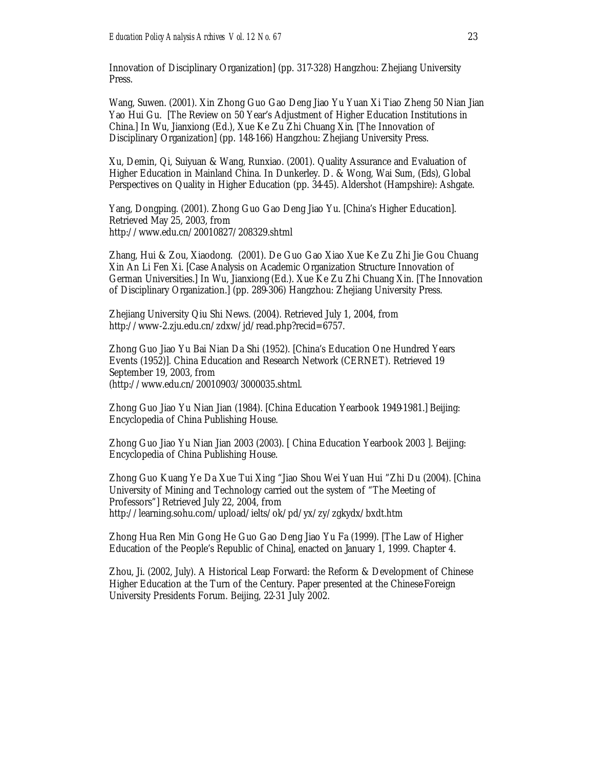Innovation of Disciplinary Organization] (pp. 317-328) Hangzhou: Zhejiang University Press.

Wang, Suwen. (2001). Xin Zhong Guo Gao Deng Jiao Yu Yuan Xi Tiao Zheng 50 Nian Jian Yao Hui Gu. [The Review on 50 Year's Adjustment of Higher Education Institutions in China.] In Wu, Jianxiong (Ed.), Xue Ke Zu Zhi Chuang Xin. [The Innovation of Disciplinary Organization] (pp. 148-166) Hangzhou: Zhejiang University Press.

Xu, Demin, Qi, Suiyuan & Wang, Runxiao. (2001). Quality Assurance and Evaluation of Higher Education in Mainland China. In Dunkerley. D. & Wong, Wai Sum, (Eds), Global Perspectives on Quality in Higher Education (pp. 34-45). Aldershot (Hampshire): Ashgate.

Yang, Dongping. (2001). Zhong Guo Gao Deng Jiao Yu. [China's Higher Education]. Retrieved May 25, 2003, from http://www.edu.cn/20010827/208329.shtml

Zhang, Hui & Zou, Xiaodong. (2001). De Guo Gao Xiao Xue Ke Zu Zhi Jie Gou Chuang Xin An Li Fen Xi. [Case Analysis on Academic Organization Structure Innovation of German Universities.] In Wu, Jianxiong (Ed.). Xue Ke Zu Zhi Chuang Xin. [The Innovation of Disciplinary Organization.] (pp. 289-306) Hangzhou: Zhejiang University Press.

Zhejiang University Qiu Shi News. (2004). Retrieved July 1, 2004, from http://www-2.zju.edu.cn/zdxw/jd/read.php?recid=6757.

Zhong Guo Jiao Yu Bai Nian Da Shi (1952). [China's Education One Hundred Years Events (1952)]. China Education and Research Network (CERNET). Retrieved 19 September 19, 2003, from (http://www.edu.cn/20010903/3000035.shtml.

Zhong Guo Jiao Yu Nian Jian (1984). [China Education Yearbook 1949-1981.] Beijing: Encyclopedia of China Publishing House.

Zhong Guo Jiao Yu Nian Jian 2003 (2003). [ China Education Yearbook 2003 ]. Beijing: Encyclopedia of China Publishing House.

Zhong Guo Kuang Ye Da Xue Tui Xing "Jiao Shou Wei Yuan Hui "Zhi Du (2004). [China University of Mining and Technology carried out the system of "The Meeting of Professors"] Retrieved July 22, 2004, from http://learning.sohu.com/upload/ielts/ok/pd/yx/zy/zgkydx/bxdt.htm

Zhong Hua Ren Min Gong He Guo Gao Deng Jiao Yu Fa (1999). [The Law of Higher Education of the People's Republic of China], enacted on January 1, 1999. Chapter 4.

Zhou, Ji. (2002, July). A Historical Leap Forward: the Reform & Development of Chinese Higher Education at the Turn of the Century. Paper presented at the Chinese-Foreign University Presidents Forum. Beijing, 22-31 July 2002.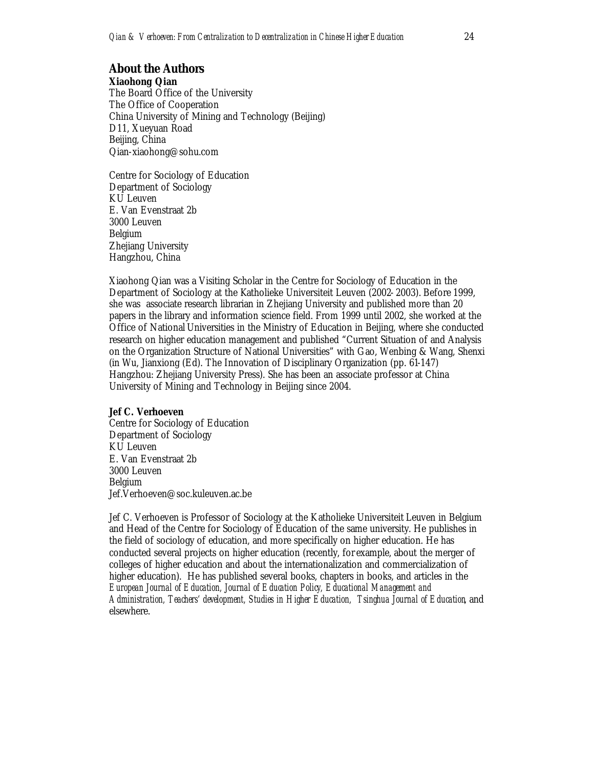#### **About the Authors Xiaohong Qian**

The Board Office of the University The Office of Cooperation China University of Mining and Technology (Beijing) D11, Xueyuan Road Beijing, China Qian-xiaohong@sohu.com

Centre for Sociology of Education Department of Sociology KU Leuven E. Van Evenstraat 2b 3000 Leuven Belgium Zhejiang University Hangzhou, China

Xiaohong Qian was a Visiting Scholar in the Centre for Sociology of Education in the Department of Sociology at the Katholieke Universiteit Leuven (2002- 2003). Before 1999, she was associate research librarian in Zhejiang University and published more than 20 papers in the library and information science field. From 1999 until 2002, she worked at the Office of National Universities in the Ministry of Education in Beijing, where she conducted research on higher education management and published "Current Situation of and Analysis on the Organization Structure of National Universities" with Gao, Wenbing & Wang, Shenxi (in Wu, Jianxiong (Ed). The Innovation of Disciplinary Organization (pp. 61-147) Hangzhou: Zhejiang University Press). She has been an associate professor at China University of Mining and Technology in Beijing since 2004.

#### **Jef C. Verhoeven**

Centre for Sociology of Education Department of Sociology KU Leuven E. Van Evenstraat 2b 3000 Leuven Belgium Jef.Verhoeven@soc.kuleuven.ac.be

Jef C. Verhoeven is Professor of Sociology at the Katholieke Universiteit Leuven in Belgium and Head of the Centre for Sociology of Education of the same university. He publishes in the field of sociology of education, and more specifically on higher education. He has conducted several projects on higher education (recently, for example, about the merger of colleges of higher education and about the internationalization and commercialization of higher education). He has published several books, chapters in books, and articles in the *European Journal of Education, Journal of Education Policy, Educational Management and Administration, Teachers' development, Studies in Higher Education, Tsinghua Journal of Education*, and elsewhere.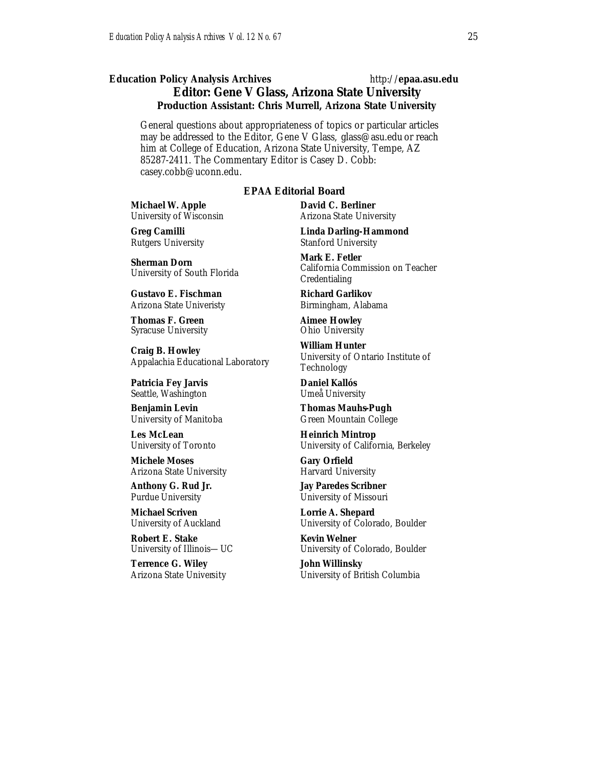### *Education Policy Analysis Archives* http://**epaa.asu.edu Editor: Gene V Glass, Arizona State University Production Assistant: Chris Murrell, Arizona State University**

General questions about appropriateness of topics or particular articles may be addressed to the Editor, Gene V Glass, glass@asu.edu or reach him at College of Education, Arizona State University, Tempe, AZ 85287-2411. The Commentary Editor is Casey D. Cobb: casey.cobb@uconn.edu.

#### *EPAA* **Editorial Board**

**Michael W. Apple** University of Wisconsin

**Greg Camilli** Rutgers University

**Sherman Dorn** University of South Florida

**Gustavo E. Fischman** Arizona State Univeristy

**Thomas F. Green** Syracuse University

**Craig B. Howley** Appalachia Educational Laboratory

**Patricia Fey Jarvis**  Seattle, Washington

**Benjamin Levin** University of Manitoba

**Les McLean** University of Toronto

**Michele Moses** Arizona State University

**Anthony G. Rud Jr.** Purdue University

**Michael Scriven** University of Auckland

**Robert E. Stake**  University of Illinois—UC

**Terrence G. Wiley** Arizona State University **David C. Berliner**  Arizona State University

**Linda Darling-Hammond**  Stanford University

**Mark E. Fetler** California Commission on Teacher Credentialing

**Richard Garlikov** Birmingham, Alabama

**Aimee Howley** Ohio University

**William Hunter** University of Ontario Institute of Technology

**Daniel Kallós** Umeå University

**Thomas Mauhs-Pugh** Green Mountain College

**Heinrich Mintrop**  University of California, Berkeley

**Gary Orfield** Harvard University

**Jay Paredes Scribner** University of Missouri

**Lorrie A. Shepard** University of Colorado, Boulder

**Kevin Welner** University of Colorado, Boulder

**John Willinsky** University of British Columbia